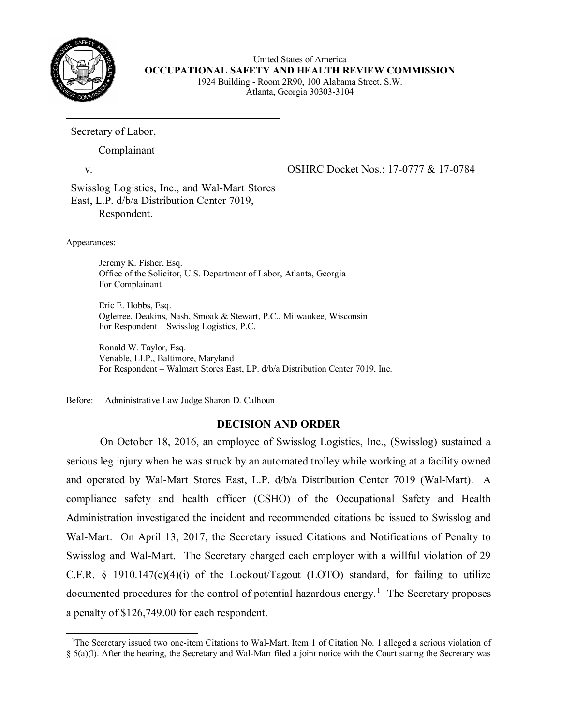

United States of America **OCCUPATIONAL SAFETY AND HEALTH REVIEW COMMISSION**  1924 Building - Room 2R90, 100 Alabama Street, S.W. Atlanta, Georgia 30303-3104

Secretary of Labor,

Complainant

v.

Swisslog Logistics, Inc., and Wal-Mart Stores East, L.P. d/b/a Distribution Center 7019, Respondent.

Appearances:

 $\overline{a}$ 

 Office of the Solicitor, U.S. Department of Labor, Atlanta, Georgia Jeremy K. Fisher, Esq. For Complainant

 For Respondent – Swisslog Logistics, P.C. Eric E. Hobbs, Esq. Ogletree, Deakins, Nash, Smoak & Stewart, P.C., Milwaukee, Wisconsin

 For Respondent – Walmart Stores East, LP. d/b/a Distribution Center 7019, Inc. Ronald W. Taylor, Esq. Venable, LLP., Baltimore, Maryland

Before: Administrative Law Judge Sharon D. Calhoun

# **DECISION AND ORDER**

 serious leg injury when he was struck by an automated trolley while working at a facility owned and operated by Wal-Mart Stores East, L.P. d/b/a Distribution Center 7019 (Wal-Mart). A Wal-Mart. On April 13, 2017, the Secretary issued Citations and Notifications of Penalty to Swisslog and Wal-Mart. The Secretary charged each employer with a willful violation of 29 documented procedures for the control of potential hazardous energy.<sup>[1](#page-0-0)</sup> The Secretary proposes On October 18, 2016, an employee of Swisslog Logistics, Inc., (Swisslog) sustained a compliance safety and health officer (CSHO) of the Occupational Safety and Health Administration investigated the incident and recommended citations be issued to Swisslog and C.F.R.  $\S$  1910.147(c)(4)(i) of the Lockout/Tagout (LOTO) standard, for failing to utilize a penalty of \$126,749.00 for each respondent.

<span id="page-0-0"></span><sup>&</sup>lt;sup>1</sup>The Secretary issued two one-item Citations to Wal-Mart. Item 1 of Citation No. 1 alleged a serious violation of § 5(a)(l). After the hearing, the Secretary and Wal-Mart filed a joint notice with the Court stating the Secretary was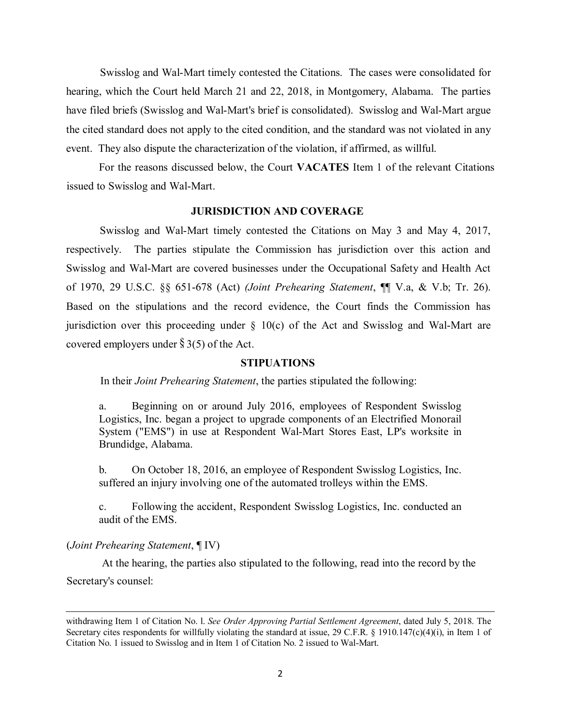Swisslog and Wal-Mart timely contested the Citations. The cases were consolidated for hearing, which the Court held March 21 and 22, 2018, in Montgomery, Alabama. The parties have filed briefs (Swisslog and Wal-Mart's brief is consolidated). Swisslog and Wal-Mart argue event. They also dispute the characterization of the violation, if affirmed, as willful. the cited standard does not apply to the cited condition, and the standard was not violated in any

 issued to Swisslog and Wal-Mart. For the reasons discussed below, the Court **VACATES** Item 1 of the relevant Citations

# **JURISDICTION AND COVERAGE**

respectively. Swisslog and Wal-Mart timely contested the Citations on May 3 and May 4, 2017, The parties stipulate the Commission has jurisdiction over this action and Swisslog and Wal-Mart are covered businesses under the Occupational Safety and Health Act of 1970, 29 U.S.C. §§ 651-678 (Act) *(Joint Prehearing Statement*, ¶¶ V.a, & V.b; Tr. 26). Based on the stipulations and the record evidence, the Court finds the Commission has jurisdiction over this proceeding under  $\S$  10(c) of the Act and Swisslog and Wal-Mart are covered employers under  $\S 3(5)$  of the Act.

### **STIPUATIONS**

In their *Joint Prehearing Statement*, the parties stipulated the following:

 System ("EMS") in use at Respondent Wal-Mart Stores East, LP's worksite in a. Beginning on or around July 2016, employees of Respondent Swisslog Logistics, Inc. began a project to upgrade components of an Electrified Monorail Brundidge, Alabama.

 suffered an injury involving one of the automated trolleys within the EMS. b. On October 18, 2016, an employee of Respondent Swisslog Logistics, Inc.

c. Following the accident, Respondent Swisslog Logistics, Inc. conducted an audit of the EMS.

### (*Joint Prehearing Statement*, ¶ IV)

 $\overline{a}$ 

 At the hearing, the parties also stipulated to the following, read into the record by the Secretary's counsel:

 withdrawing Item 1 of Citation No. l. *See Order Approving Partial Settlement Agreement*, dated July 5, 2018. The Secretary cites respondents for willfully violating the standard at issue, 29 C.F.R. § 1910.147(c)(4)(i), in Item 1 of Citation No. 1 issued to Swisslog and in Item 1 of Citation No. 2 issued to Wal-Mart.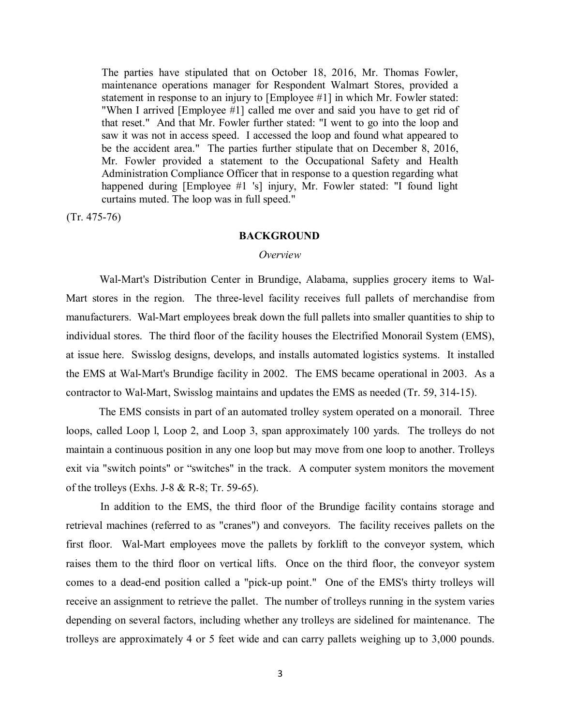maintenance operations manager for Respondent Walmart Stores, provided a statement in response to an injury to [Employee #1] in which Mr. Fowler stated: "When I arrived [Employee #1] called me over and said you have to get rid of that reset." And that Mr. Fowler further stated: "I went to go into the loop and saw it was not in access speed. I accessed the loop and found what appeared to be the accident area." The parties further stipulate that on December 8, 2016, curtains muted. The loop was in full speed." The parties have stipulated that on October 18, 2016, Mr. Thomas Fowler, Mr. Fowler provided a statement to the Occupational Safety and Health Administration Compliance Officer that in response to a question regarding what happened during [Employee #1 's] injury, Mr. Fowler stated: "I found light

(Tr. 475-76)

#### **BACKGROUND**

#### *Overview*

 Mart stores in the region. The three-level facility receives full pallets of merchandise from manufacturers. Wal-Mart employees break down the full pallets into smaller quantities to ship to individual stores. The third floor of the facility houses the Electrified Monorail System (EMS), at issue here. Swisslog designs, develops, and installs automated logistics systems. It installed the EMS at Wal-Mart's Brundige facility in 2002. The EMS became operational in 2003. As a Wal-Mart's Distribution Center in Brundige, Alabama, supplies grocery items to Walcontractor to Wal-Mart, Swisslog maintains and updates the EMS as needed (Tr. 59, 314-15).

 The EMS consists in part of an automated trolley system operated on a monorail. Three loops, called Loop l, Loop 2, and Loop 3, span approximately 100 yards. The trolleys do not maintain a continuous position in any one loop but may move from one loop to another. Trolleys exit via "switch points" or "switches" in the track. A computer system monitors the movement of the trolleys (Exhs. J-8 & R-8; Tr. 59-65).

 In addition to the EMS, the third floor of the Brundige facility contains storage and retrieval machines (referred to as "cranes") and conveyors. The facility receives pallets on the first floor. Wal-Mart employees move the pallets by forklift to the conveyor system, which raises them to the third floor on vertical lifts. Once on the third floor, the conveyor system receive an assignment to retrieve the pallet. The number of trolleys running in the system varies trolleys are approximately 4 or 5 feet wide and can carry pallets weighing up to 3,000 pounds. comes to a dead-end position called a "pick-up point." One of the EMS's thirty trolleys will depending on several factors, including whether any trolleys are sidelined for maintenance. The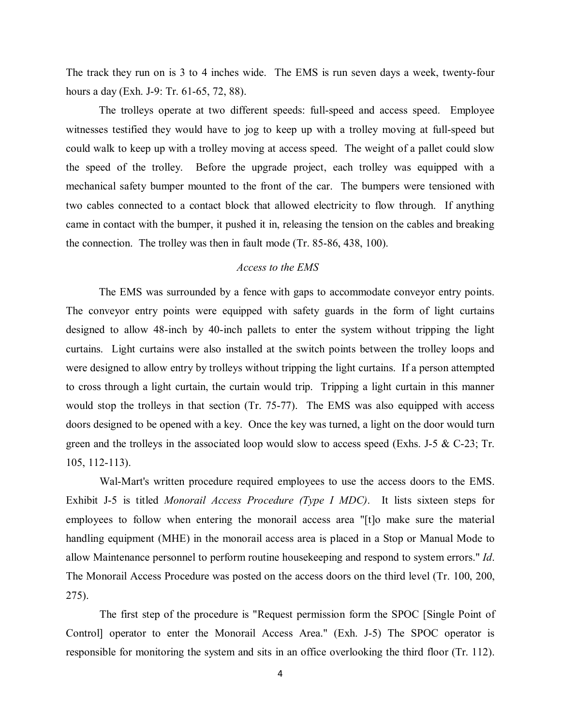The track they run on is 3 to 4 inches wide. The EMS is run seven days a week, twenty-four hours a day (Exh. J-9: Tr. 61-65, 72, 88).

 The trolleys operate at two different speeds: full-speed and access speed. Employee witnesses testified they would have to jog to keep up with a trolley moving at full-speed but the speed of the trolley. Before the upgrade project, each trolley was equipped with a mechanical safety bumper mounted to the front of the car. The bumpers were tensioned with two cables connected to a contact block that allowed electricity to flow through. If anything came in contact with the bumper, it pushed it in, releasing the tension on the cables and breaking could walk to keep up with a trolley moving at access speed. The weight of a pallet could slow the connection. The trolley was then in fault mode (Tr. 85-86, 438, 100).

# *Access to the EMS*

 designed to allow 48-inch by 40-inch pallets to enter the system without tripping the light curtains. Light curtains were also installed at the switch points between the trolley loops and were designed to allow entry by trolleys without tripping the light curtains. If a person attempted to cross through a light curtain, the curtain would trip. Tripping a light curtain in this manner would stop the trolleys in that section (Tr. 75-77). The EMS was also equipped with access doors designed to be opened with a key. Once the key was turned, a light on the door would turn The EMS was surrounded by a fence with gaps to accommodate conveyor entry points. The conveyor entry points were equipped with safety guards in the form of light curtains green and the trolleys in the associated loop would slow to access speed (Exhs. J-5  $\&$  C-23; Tr. 105, 112-113).

 Wal-Mart's written procedure required employees to use the access doors to the EMS. Exhibit J-5 is titled *Monorail Access Procedure (Type I MDC)*. It lists sixteen steps for The Monorail Access Procedure was posted on the access doors on the third level (Tr. 100, 200, employees to follow when entering the monorail access area "[t]o make sure the material handling equipment (MHE) in the monorail access area is placed in a Stop or Manual Mode to allow Maintenance personnel to perform routine housekeeping and respond to system errors." *Id*. 275).

 Control] operator to enter the Monorail Access Area." (Exh. J-5) The SPOC operator is The first step of the procedure is "Request permission form the SPOC [Single Point of responsible for monitoring the system and sits in an office overlooking the third floor (Tr. 112).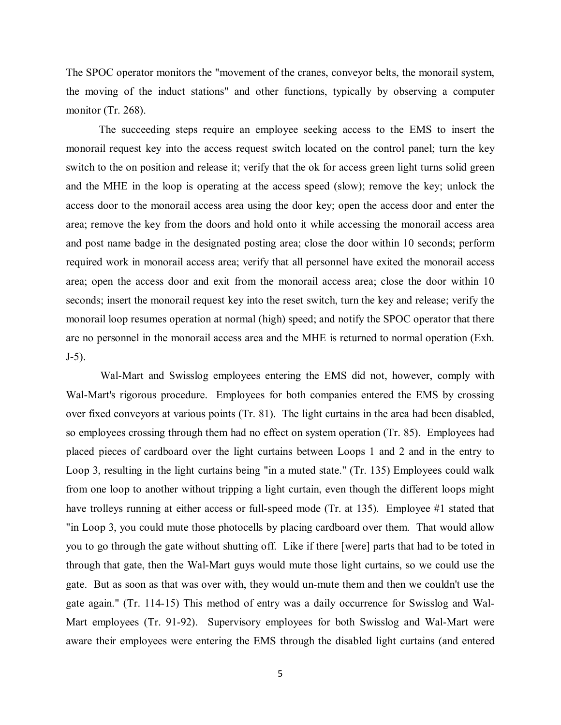The SPOC operator monitors the "movement of the cranes, conveyor belts, the monorail system, the moving of the induct stations" and other functions, typically by observing a computer monitor (Tr. 268).

 The succeeding steps require an employee seeking access to the EMS to insert the monorail request key into the access request switch located on the control panel; turn the key switch to the on position and release it; verify that the ok for access green light turns solid green access door to the monorail access area using the door key; open the access door and enter the required work in monorail access area; verify that all personnel have exited the monorail access seconds; insert the monorail request key into the reset switch, turn the key and release; verify the monorail loop resumes operation at normal (high) speed; and notify the SPOC operator that there and the MHE in the loop is operating at the access speed (slow); remove the key; unlock the area; remove the key from the doors and hold onto it while accessing the monorail access area and post name badge in the designated posting area; close the door within 10 seconds; perform area; open the access door and exit from the monorail access area; close the door within 10 are no personnel in the monorail access area and the MHE is returned to normal operation (Exh. J-5).

 Wal-Mart and Swisslog employees entering the EMS did not, however, comply with Wal-Mart's rigorous procedure. Employees for both companies entered the EMS by crossing so employees crossing through them had no effect on system operation (Tr. 85). Employees had placed pieces of cardboard over the light curtains between Loops 1 and 2 and in the entry to Loop 3, resulting in the light curtains being "in a muted state." (Tr. 135) Employees could walk from one loop to another without tripping a light curtain, even though the different loops might "in Loop 3, you could mute those photocells by placing cardboard over them. That would allow through that gate, then the Wal-Mart guys would mute those light curtains, so we could use the gate. But as soon as that was over with, they would un-mute them and then we couldn't use the Mart employees (Tr. 91-92). Supervisory employees for both Swisslog and Wal-Mart were aware their employees were entering the EMS through the disabled light curtains (and entered over fixed conveyors at various points (Tr. 81). The light curtains in the area had been disabled, have trolleys running at either access or full-speed mode (Tr. at 135). Employee #1 stated that you to go through the gate without shutting off. Like if there [were] parts that had to be toted in gate again." (Tr. 114-15) This method of entry was a daily occurrence for Swisslog and Wal-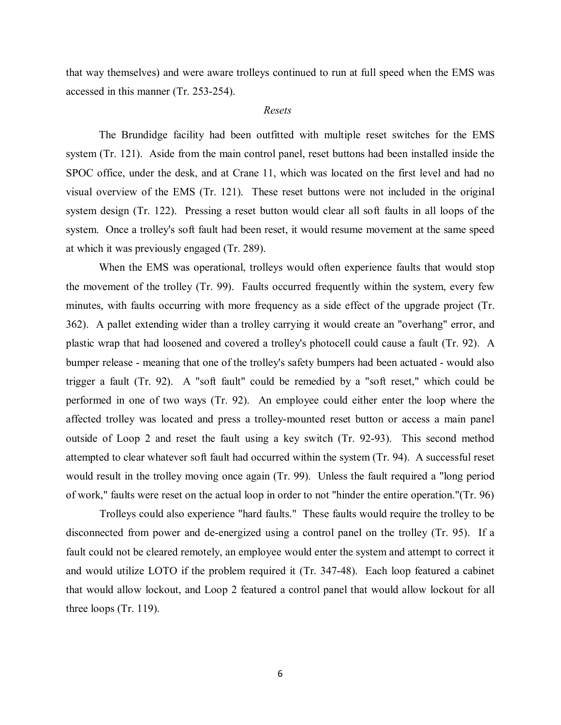accessed in this manner (Tr. 253-254). that way themselves) and were aware trolleys continued to run at full speed when the EMS was

## *Resets*

 The Brundidge facility had been outfitted with multiple reset switches for the EMS system (Tr. 121). Aside from the main control panel, reset buttons had been installed inside the SPOC office, under the desk, and at Crane 11, which was located on the first level and had no system design (Tr. 122). Pressing a reset button would clear all soft faults in all loops of the visual overview of the EMS (Tr. 121). These reset buttons were not included in the original system. Once a trolley's soft fault had been reset, it would resume movement at the same speed at which it was previously engaged (Tr. 289).

 the movement of the trolley (Tr. 99). Faults occurred frequently within the system, every few 362). A pallet extending wider than a trolley carrying it would create an "overhang" error, and plastic wrap that had loosened and covered a trolley's photocell could cause a fault (Tr. 92). A bumper release - meaning that one of the trolley's safety bumpers had been actuated - would also trigger a fault (Tr. 92). A "soft fault" could be remedied by a "soft reset," which could be performed in one of two ways (Tr. 92). An employee could either enter the loop where the affected trolley was located and press a trolley-mounted reset button or access a main panel outside of Loop 2 and reset the fault using a key switch (Tr. 92-93). This second method When the EMS was operational, trolleys would often experience faults that would stop minutes, with faults occurring with more frequency as a side effect of the upgrade project (Tr. attempted to clear whatever soft fault had occurred within the system (Tr. 94). A successful reset would result in the trolley moving once again (Tr. 99). Unless the fault required a "long period of work," faults were reset on the actual loop in order to not "hinder the entire operation."(Tr. 96)

 Trolleys could also experience "hard faults." These faults would require the trolley to be and would utilize LOTO if the problem required it (Tr. 347-48). Each loop featured a cabinet disconnected from power and de-energized using a control panel on the trolley (Tr. 95). If a fault could not be cleared remotely, an employee would enter the system and attempt to correct it that would allow lockout, and Loop 2 featured a control panel that would allow lockout for all three loops (Tr. 119).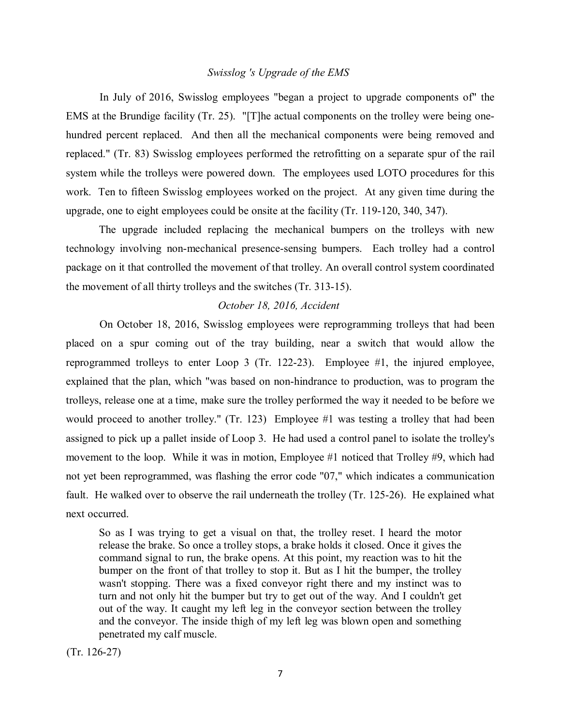## *Swisslog 's Upgrade of the EMS*

 replaced." (Tr. 83) Swisslog employees performed the retrofitting on a separate spur of the rail system while the trolleys were powered down. The employees used LOTO procedures for this work. Ten to fifteen Swisslog employees worked on the project. At any given time during the In July of 2016, Swisslog employees "began a project to upgrade components of" the EMS at the Brundige facility (Tr. 25). "[T]he actual components on the trolley were being onehundred percent replaced. And then all the mechanical components were being removed and upgrade, one to eight employees could be onsite at the facility (Tr. 119-120, 340, 347).

 The upgrade included replacing the mechanical bumpers on the trolleys with new technology involving non-mechanical presence-sensing bumpers. Each trolley had a control package on it that controlled the movement of that trolley. An overall control system coordinated the movement of all thirty trolleys and the switches (Tr. 313-15).

## *October 18, 2016, Accident*

 reprogrammed trolleys to enter Loop 3 (Tr. 122-23). Employee #1, the injured employee, trolleys, release one at a time, make sure the trolley performed the way it needed to be before we would proceed to another trolley." (Tr. 123) Employee #1 was testing a trolley that had been movement to the loop. While it was in motion, Employee #1 noticed that Trolley #9, which had fault. He walked over to observe the rail underneath the trolley (Tr. 125-26). He explained what On October 18, 2016, Swisslog employees were reprogramming trolleys that had been placed on a spur coming out of the tray building, near a switch that would allow the explained that the plan, which "was based on non-hindrance to production, was to program the assigned to pick up a pallet inside of Loop 3. He had used a control panel to isolate the trolley's not yet been reprogrammed, was flashing the error code "07," which indicates a communication next occurred.

 command signal to run, the brake opens. At this point, my reaction was to hit the bumper on the front of that trolley to stop it. But as I hit the bumper, the trolley wasn't stopping. There was a fixed conveyor right there and my instinct was to turn and not only hit the bumper but try to get out of the way. And I couldn't get out of the way. It caught my left leg in the conveyor section between the trolley and the conveyor. The inside thigh of my left leg was blown open and something So as I was trying to get a visual on that, the trolley reset. I heard the motor release the brake. So once a trolley stops, a brake holds it closed. Once it gives the penetrated my calf muscle.

(Tr. 126-27)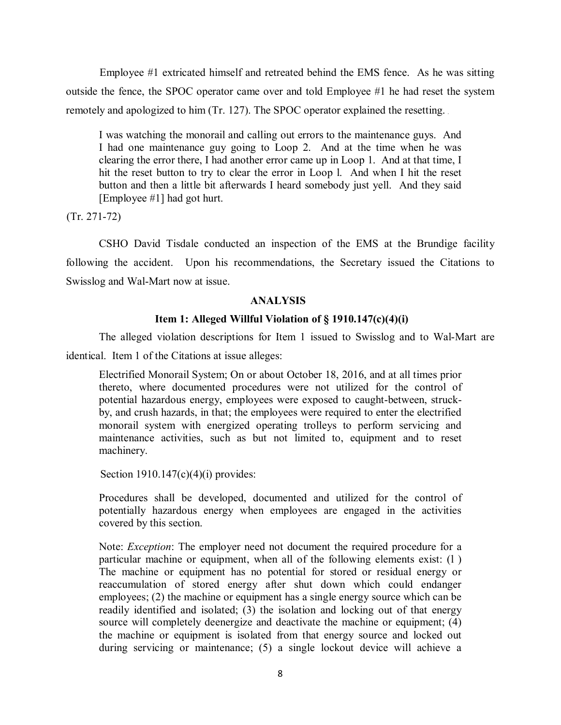Employee #1 extricated himself and retreated behind the EMS fence. As he was sitting outside the fence, the SPOC operator came over and told Employee #1 he had reset the system remotely and apologized to him (Tr. 127). The SPOC operator explained the resetting.

 I was watching the monorail and calling out errors to the maintenance guys. And I had one maintenance guy going to Loop 2. And at the time when he was clearing the error there, I had another error came up in Loop 1. And at that time, I hit the reset button to try to clear the error in Loop l. And when I hit the reset button and then a little bit afterwards I heard somebody just yell. And they said [Employee #1] had got hurt.

(Tr. 271-72)

 CSHO David Tisdale conducted an inspection of the EMS at the Brundige facility following the accident. Upon his recommendations, the Secretary issued the Citations to Swisslog and Wal-Mart now at issue.

# **ANALYSIS**

# **Item 1: Alleged Willful Violation of § 1910.147(c)(4)(i)**

The alleged violation descriptions for Item 1 issued to Swisslog and to Wal-Mart are identical. Item 1 of the Citations at issue alleges:

Electrified Monorail System; On or about October 18, 2016, and at all times prior thereto, where documented procedures were not utilized for the control of potential hazardous energy, employees were exposed to caught-between, struckby, and crush hazards, in that; the employees were required to enter the electrified monorail system with energized operating trolleys to perform servicing and maintenance activities, such as but not limited to, equipment and to reset machinery.

Section  $1910.147(c)(4)(i)$  provides:

Procedures shall be developed, documented and utilized for the control of potentially hazardous energy when employees are engaged in the activities covered by this section.

 The machine or equipment has no potential for stored or residual energy or readily identified and isolated; (3) the isolation and locking out of that energy the machine or equipment is isolated from that energy source and locked out Note: *Exception*: The employer need not document the required procedure for a particular machine or equipment, when all of the following elements exist: (l ) reaccumulation of stored energy after shut down which could endanger employees; (2) the machine or equipment has a single energy source which can be source will completely deenergize and deactivate the machine or equipment; (4) during servicing or maintenance; (5) a single lockout device will achieve a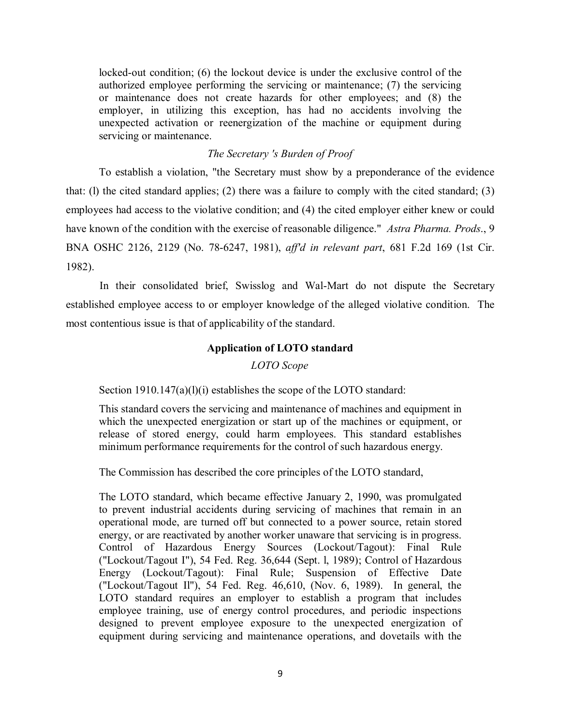or maintenance does not create hazards for other employees; and (8) the locked-out condition; (6) the lockout device is under the exclusive control of the authorized employee performing the servicing or maintenance; (7) the servicing employer, in utilizing this exception, has had no accidents involving the unexpected activation or reenergization of the machine or equipment during servicing or maintenance.

# *The Secretary 's Burden of Proof*

To establish a violation, "the Secretary must show by a preponderance of the evidence that: (l) the cited standard applies; (2) there was a failure to comply with the cited standard; (3) employees had access to the violative condition; and (4) the cited employer either knew or could have known of the condition with the exercise of reasonable diligence." *Astra Pharma. Prods*., 9 BNA OSHC 2126, 2129 (No. 78-6247, 1981), *aff'd in relevant part*, 681 F.2d 169 (1st Cir. 1982).

 established employee access to or employer knowledge of the alleged violative condition. The most contentious issue is that of applicability of the standard. In their consolidated brief, Swisslog and Wal-Mart do not dispute the Secretary

## **Application of LOTO standard**

## *LOTO Scope*

Section 1910.147(a)(l)(i) establishes the scope of the LOTO standard:

 which the unexpected energization or start up of the machines or equipment, or This standard covers the servicing and maintenance of machines and equipment in release of stored energy, could harm employees. This standard establishes minimum performance requirements for the control of such hazardous energy.

The Commission has described the core principles of the LOTO standard,

 operational mode, are turned off but connected to a power source, retain stored energy, or are reactivated by another worker unaware that servicing is in progress. ("Lockout/Tagout Il"), 54 Fed. Reg. 46,610, (Nov. 6, 1989). In general, the The LOTO standard, which became effective January 2, 1990, was promulgated to prevent industrial accidents during servicing of machines that remain in an Control of Hazardous Energy Sources (Lockout/Tagout): Final Rule ("Lockout/Tagout I"), 54 Fed. Reg. 36,644 (Sept. l, 1989); Control of Hazardous Energy (Lockout/Tagout): Final Rule; Suspension of Effective Date LOTO standard requires an employer to establish a program that includes employee training, use of energy control procedures, and periodic inspections designed to prevent employee exposure to the unexpected energization of equipment during servicing and maintenance operations, and dovetails with the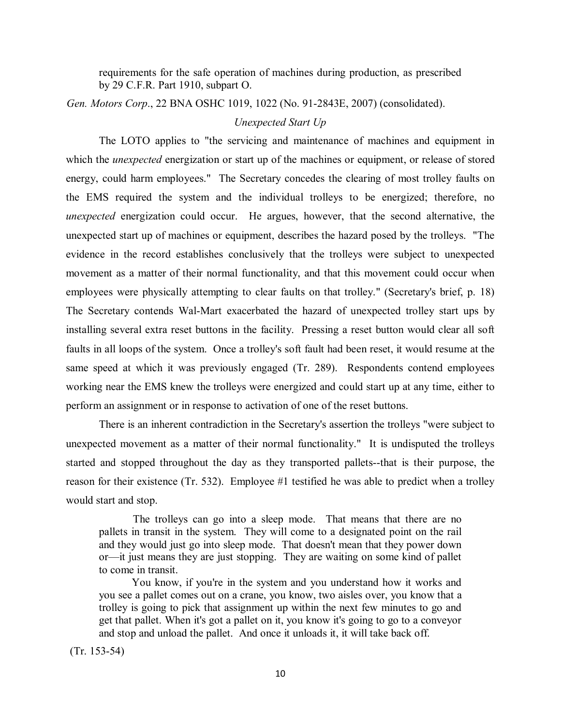requirements for the safe operation of machines during production, as prescribed by 29 C.F.R. Part 1910, subpart O.

*Gen. Motors Corp*., 22 BNA OSHC 1019, 1022 (No. 91-2843E, 2007) (consolidated).

## *Unexpected Start Up*

 which the *unexpected* energization or start up of the machines or equipment, or release of stored energy, could harm employees." The Secretary concedes the clearing of most trolley faults on *unexpected* energization could occur. He argues, however, that the second alternative, the unexpected start up of machines or equipment, describes the hazard posed by the trolleys. "The evidence in the record establishes conclusively that the trolleys were subject to unexpected movement as a matter of their normal functionality, and that this movement could occur when employees were physically attempting to clear faults on that trolley." (Secretary's brief, p. 18) installing several extra reset buttons in the facility. Pressing a reset button would clear all soft faults in all loops of the system. Once a trolley's soft fault had been reset, it would resume at the The LOTO applies to "the servicing and maintenance of machines and equipment in the EMS required the system and the individual trolleys to be energized; therefore, no The Secretary contends Wal-Mart exacerbated the hazard of unexpected trolley start ups by same speed at which it was previously engaged (Tr. 289). Respondents contend employees working near the EMS knew the trolleys were energized and could start up at any time, either to perform an assignment or in response to activation of one of the reset buttons.

 There is an inherent contradiction in the Secretary's assertion the trolleys "were subject to unexpected movement as a matter of their normal functionality." It is undisputed the trolleys started and stopped throughout the day as they transported pallets--that is their purpose, the reason for their existence (Tr. 532). Employee #1 testified he was able to predict when a trolley would start and stop.

 The trolleys can go into a sleep mode. That means that there are no pallets in transit in the system. They will come to a designated point on the rail and they would just go into sleep mode. That doesn't mean that they power down or—it just means they are just stopping. They are waiting on some kind of pallet to come in transit.

 You know, if you're in the system and you understand how it works and and stop and unload the pallet. And once it unloads it, it will take back off. you see a pallet comes out on a crane, you know, two aisles over, you know that a trolley is going to pick that assignment up within the next few minutes to go and get that pallet. When it's got a pallet on it, you know it's going to go to a conveyor

(Tr. 153-54)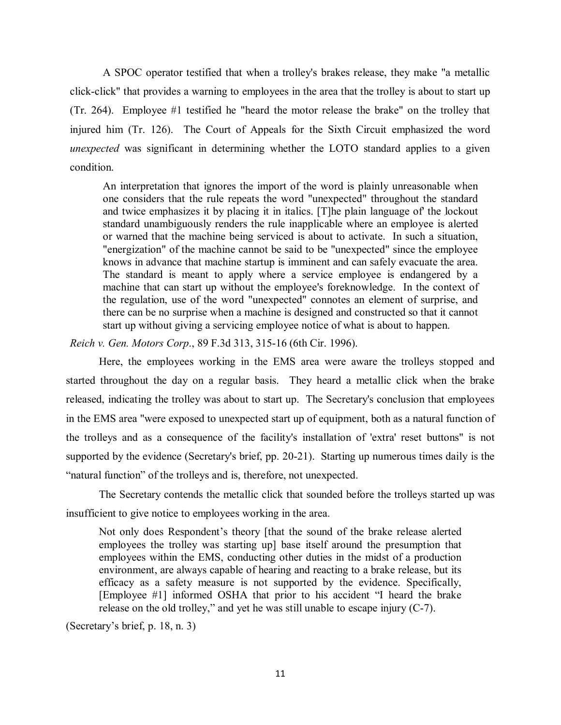click-click" that provides a warning to employees in the area that the trolley is about to start up (Tr. 264). Employee #1 testified he "heard the motor release the brake" on the trolley that injured him (Tr. 126). The Court of Appeals for the Sixth Circuit emphasized the word A SPOC operator testified that when a trolley's brakes release, they make "a metallic *unexpected* was significant in determining whether the LOTO standard applies to a given condition.

 and twice emphasizes it by placing it in italics. [T]he plain language of' the lockout or warned that the machine being serviced is about to activate. In such a situation, The standard is meant to apply where a service employee is endangered by a machine that can start up without the employee's foreknowledge. In the context of An interpretation that ignores the import of the word is plainly unreasonable when one considers that the rule repeats the word "unexpected" throughout the standard standard unambiguously renders the rule inapplicable where an employee is alerted "energization" of the machine cannot be said to be "unexpected" since the employee knows in advance that machine startup is imminent and can safely evacuate the area. the regulation, use of the word "unexpected" connotes an element of surprise, and there can be no surprise when a machine is designed and constructed so that it cannot start up without giving a servicing employee notice of what is about to happen.

*Reich v. Gen. Motors Corp*., 89 F.3d 313, 315-16 (6th Cir. 1996).

 started throughout the day on a regular basis. They heard a metallic click when the brake released, indicating the trolley was about to start up. The Secretary's conclusion that employees in the EMS area "were exposed to unexpected start up of equipment, both as a natural function of supported by the evidence (Secretary's brief, pp. 20-21). Starting up numerous times daily is the Here, the employees working in the EMS area were aware the trolleys stopped and the trolleys and as a consequence of the facility's installation of 'extra' reset buttons" is not "natural function" of the trolleys and is, therefore, not unexpected.

 insufficient to give notice to employees working in the area. The Secretary contends the metallic click that sounded before the trolleys started up was

 employees within the EMS, conducting other duties in the midst of a production Not only does Respondent's theory [that the sound of the brake release alerted employees the trolley was starting up] base itself around the presumption that environment, are always capable of hearing and reacting to a brake release, but its efficacy as a safety measure is not supported by the evidence. Specifically, [Employee #1] informed OSHA that prior to his accident "I heard the brake release on the old trolley," and yet he was still unable to escape injury (C-7).

(Secretary's brief, p. 18, n. 3)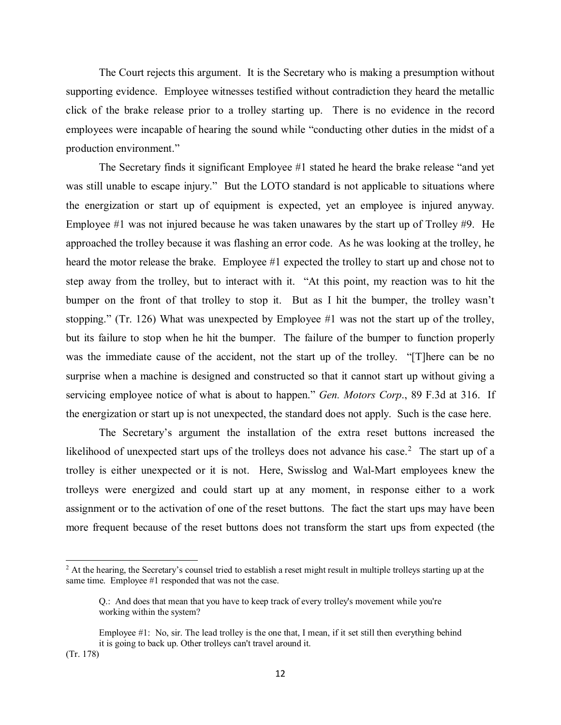The Court rejects this argument. It is the Secretary who is making a presumption without employees were incapable of hearing the sound while "conducting other duties in the midst of a production environment." supporting evidence. Employee witnesses testified without contradiction they heard the metallic click of the brake release prior to a trolley starting up. There is no evidence in the record

 production environment." The Secretary finds it significant Employee #1 stated he heard the brake release "and yet the energization or start up of equipment is expected, yet an employee is injured anyway. Employee #1 was not injured because he was taken unawares by the start up of Trolley #9. He Employee  $\#1$  was not injured because he was taken unawares by the start up of Trolley  $\#9$ . He approached the trolley because it was flashing an error code. As he was looking at the trolley, he heard the motor release the brake. Employee #1 expected the trolley to start up and chose not to bumper on the front of that trolley to stop it. But as I hit the bumper, the trolley wasn't stopping." (Tr. 126) What was unexpected by Employee #1 was not the start up of the trolley, but its failure to stop when he hit the bumper. The failure of the bumper to function properly was the immediate cause of the accident, not the start up of the trolley. "[T]here can be no servicing employee notice of what is about to happen." *Gen. Motors Corp*., 89 F.3d at 316. If the energization or start up is not unexpected, the standard does not apply. Such is the case here. was still unable to escape injury." But the LOTO standard is not applicable to situations where step away from the trolley, but to interact with it. "At this point, my reaction was to hit the surprise when a machine is designed and constructed so that it cannot start up without giving a

likelihood of unexpected start ups of the trolleys does not advance his case.<sup>[2](#page-11-0)</sup> The start up of a trolley is either unexpected or it is not. Here, Swisslog and Wal-Mart employees knew the trolleys were energized and could start up at any moment, in response either to a work assignment or to the activation of one of the reset buttons. The fact the start ups may have been more frequent because of the reset buttons does not transform the start ups from expected (the The Secretary's argument the installation of the extra reset buttons increased the

 $\overline{a}$ 

<span id="page-11-0"></span> $2$  At the hearing, the Secretary's counsel tried to establish a reset might result in multiple trolleys starting up at the same time. Employee #1 responded that was not the case.

Q.: And does that mean that you have to keep track of every trolley's movement while you're working within the system?

 Employee #1: No, sir. The lead trolley is the one that, I mean, if it set still then everything behind it is going to back up. Other trolleys can't travel around it. (Tr. 178)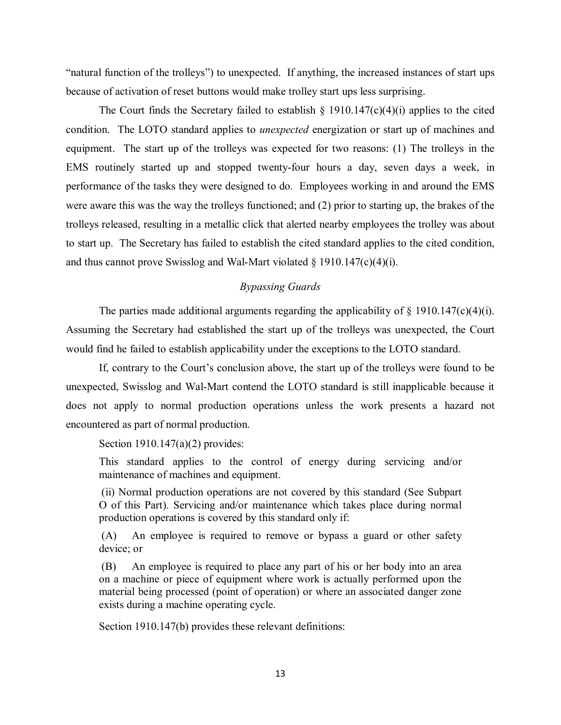"natural function of the trolleys") to unexpected. If anything, the increased instances of start ups because of activation of reset buttons would make trolley start ups less surprising.

 condition. The LOTO standard applies to *unexpected* energization or start up of machines and equipment. The start up of the trolleys was expected for two reasons: (1) The trolleys in the performance of the tasks they were designed to do. Employees working in and around the EMS The Court finds the Secretary failed to establish  $\S$  1910.147(c)(4)(i) applies to the cited EMS routinely started up and stopped twenty-four hours a day, seven days a week, in were aware this was the way the trolleys functioned; and (2) prior to starting up, the brakes of the trolleys released, resulting in a metallic click that alerted nearby employees the trolley was about to start up. The Secretary has failed to establish the cited standard applies to the cited condition, and thus cannot prove Swisslog and Wal-Mart violated  $\S$  1910.147(c)(4)(i).

# *Bypassing Guards*

The parties made additional arguments regarding the applicability of  $\S$  1910.147(c)(4)(i). would find he failed to establish applicability under the exceptions to the LOTO standard. Assuming the Secretary had established the start up of the trolleys was unexpected, the Court

 If, contrary to the Court's conclusion above, the start up of the trolleys were found to be encountered as part of normal production.<br>Section 1910.147(a)(2) provides: unexpected, Swisslog and Wal-Mart contend the LOTO standard is still inapplicable because it does not apply to normal production operations unless the work presents a hazard not

This standard applies to the control of energy during servicing and/or maintenance of machines and equipment.

(ii) Normal production operations are not covered by this standard (See Subpart O of this Part). Servicing and/or maintenance which takes place during normal production operations is covered by this standard only if:

 (A) An employee is required to remove or bypass a guard or other safety device; or

 (B) An employee is required to place any part of his or her body into an area on a machine or piece of equipment where work is actually performed upon the material being processed (point of operation) or where an associated danger zone exists during a machine operating cycle.

Section 1910.147(b) provides these relevant definitions: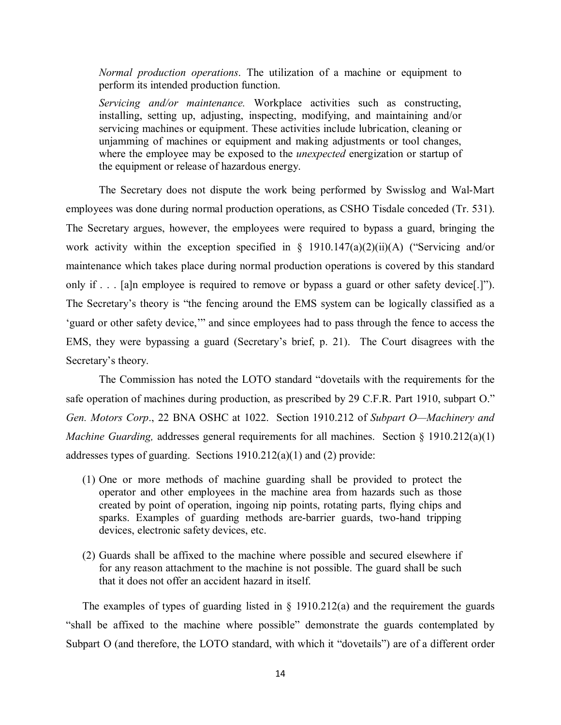*Normal production operations*. The utilization of a machine or equipment to perform its intended production function.

 installing, setting up, adjusting, inspecting, modifying, and maintaining and/or servicing machines or equipment. These activities include lubrication, cleaning or where the employee may be exposed to the *unexpected* energization or startup of the equipment or release of hazardous energy. *Servicing and/or maintenance.* Workplace activities such as constructing, unjamming of machines or equipment and making adjustments or tool changes,

employees was done during normal production operations, as CSHO Tisdale conceded (Tr. 531). only if . . . [a]n employee is required to remove or bypass a guard or other safety device[.]"). The Secretary's theory is "the fencing around the EMS system can be logically classified as a The Secretary does not dispute the work being performed by Swisslog and Wal-Mart The Secretary argues, however, the employees were required to bypass a guard, bringing the work activity within the exception specified in  $\S$  1910.147(a)(2)(ii)(A) ("Servicing and/or maintenance which takes place during normal production operations is covered by this standard 'guard or other safety device,'" and since employees had to pass through the fence to access the EMS, they were bypassing a guard (Secretary's brief, p. 21). The Court disagrees with the Secretary's theory.

 The Commission has noted the LOTO standard "dovetails with the requirements for the safe operation of machines during production, as prescribed by 29 C.F.R. Part 1910, subpart O." *Gen. Motors Corp*., 22 BNA OSHC at 1022. Section 1910.212 of *Subpart O—Machinery and Machine Guarding, addresses general requirements for all machines. Section § 1910.212(a)(1)* addresses types of guarding. Sections 1910.212(a)(1) and (2) provide:

- (1) One or more methods of machine guarding shall be provided to protect the operator and other employees in the machine area from hazards such as those created by point of operation, ingoing nip points, rotating parts, flying chips and sparks. Examples of guarding methods are-barrier guards, two-hand tripping devices, electronic safety devices, etc.
- for any reason attachment to the machine is not possible. The guard shall be such (2) Guards shall be affixed to the machine where possible and secured elsewhere if that it does not offer an accident hazard in itself.

The examples of types of guarding listed in  $\S$  1910.212(a) and the requirement the guards Subpart O (and therefore, the LOTO standard, with which it "dovetails") are of a different order "shall be affixed to the machine where possible" demonstrate the guards contemplated by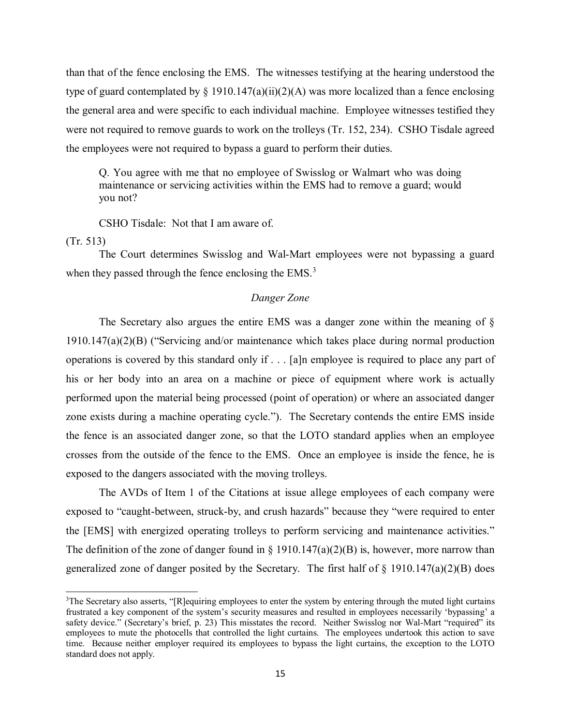than that of the fence enclosing the EMS. The witnesses testifying at the hearing understood the the general area and were specific to each individual machine. Employee witnesses testified they type of guard contemplated by  $\S 1910.147(a)(ii)(2)(A)$  was more localized than a fence enclosing were not required to remove guards to work on the trolleys (Tr. 152, 234). CSHO Tisdale agreed the employees were not required to bypass a guard to perform their duties.

Q. You agree with me that no employee of Swisslog or Walmart who was doing maintenance or servicing activities within the EMS had to remove a guard; would you not?

CSHO Tisdale: Not that I am aware of.

(Tr. 513)

 $\overline{a}$ 

The Court determines Swisslog and Wal-Mart employees were not bypassing a guard when they passed through the fence enclosing the  $EMS<sup>3</sup>$  $EMS<sup>3</sup>$  $EMS<sup>3</sup>$ .

### *Danger Zone*

 operations is covered by this standard only if . . . [a]n employee is required to place any part of zone exists during a machine operating cycle."). The Secretary contends the entire EMS inside the fence is an associated danger zone, so that the LOTO standard applies when an employee exposed to the dangers associated with the moving trolleys. The Secretary also argues the entire EMS was a danger zone within the meaning of § 1910.147(a)(2)(B) ("Servicing and/or maintenance which takes place during normal production his or her body into an area on a machine or piece of equipment where work is actually performed upon the material being processed (point of operation) or where an associated danger crosses from the outside of the fence to the EMS. Once an employee is inside the fence, he is

the [EMS] with energized operating trolleys to perform servicing and maintenance activities." the [EMS] with energized operating trolleys to perform servicing and maintenance activities."<br>The definition of the zone of danger found in § 1910.147(a)(2)(B) is, however, more narrow than generalized zone of danger posited by the Secretary. The first half of § 1910.147(a)(2)(B) does The AVDs of Item 1 of the Citations at issue allege employees of each company were exposed to "caught-between, struck-by, and crush hazards" because they "were required to enter

<span id="page-14-0"></span> employees to mute the photocells that controlled the light curtains. The employees undertook this action to save <sup>3</sup>The Secretary also asserts, "[R]equiring employees to enter the system by entering through the muted light curtains frustrated a key component of the system's security measures and resulted in employees necessarily 'bypassing' a safety device." (Secretary's brief, p. 23) This misstates the record. Neither Swisslog nor Wal-Mart "required" its time. Because neither employer required its employees to bypass the light curtains, the exception to the LOTO standard does not apply.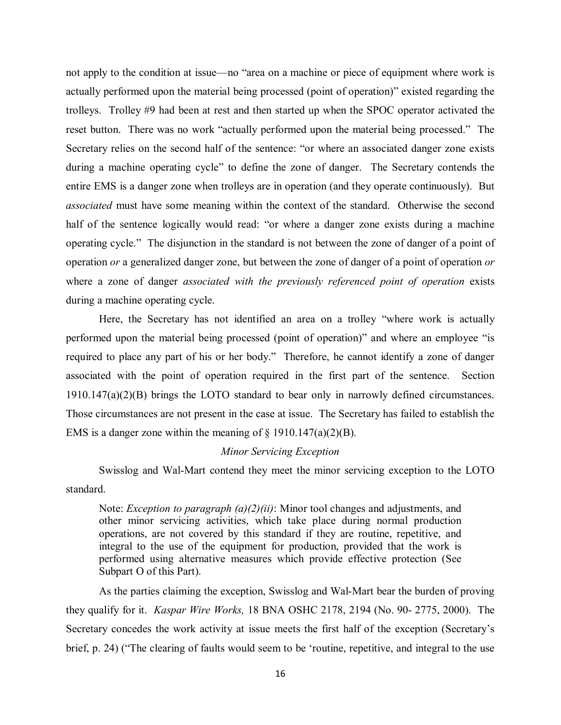trolleys. Trolley #9 had been at rest and then started up when the SPOC operator activated the operating cycle." The disjunction in the standard is not between the zone of danger of a point of operation *or* a generalized danger zone, but between the zone of danger of a point of operation *or*  not apply to the condition at issue—no "area on a machine or piece of equipment where work is actually performed upon the material being processed (point of operation)" existed regarding the reset button. There was no work "actually performed upon the material being processed." The Secretary relies on the second half of the sentence: "or where an associated danger zone exists during a machine operating cycle" to define the zone of danger. The Secretary contends the entire EMS is a danger zone when trolleys are in operation (and they operate continuously). But *associated* must have some meaning within the context of the standard. Otherwise the second half of the sentence logically would read: "or where a danger zone exists during a machine where a zone of danger *associated with the previously referenced point of operation* exists during a machine operating cycle.

 1910.147(a)(2)(B) brings the LOTO standard to bear only in narrowly defined circumstances. Here, the Secretary has not identified an area on a trolley "where work is actually performed upon the material being processed (point of operation)" and where an employee "is required to place any part of his or her body." Therefore, he cannot identify a zone of danger associated with the point of operation required in the first part of the sentence. Section Those circumstances are not present in the case at issue. The Secretary has failed to establish the EMS is a danger zone within the meaning of  $\S$  1910.147(a)(2)(B).

#### *Minor Servicing Exception*

 Swisslog and Wal-Mart contend they meet the minor servicing exception to the LOTO standard.

 integral to the use of the equipment for production, provided that the work is Note: *Exception to paragraph (a)(2)(ii)*: Minor tool changes and adjustments, and other minor servicing activities, which take place during normal production operations, are not covered by this standard if they are routine, repetitive, and performed using alternative measures which provide effective protection (See Subpart O of this Part).

 they qualify for it. *Kaspar Wire Works,* 18 BNA OSHC 2178, 2194 (No. 90- 2775, 2000). The As the parties claiming the exception, Swisslog and Wal-Mart bear the burden of proving Secretary concedes the work activity at issue meets the first half of the exception (Secretary's brief, p. 24) ("The clearing of faults would seem to be 'routine, repetitive, and integral to the use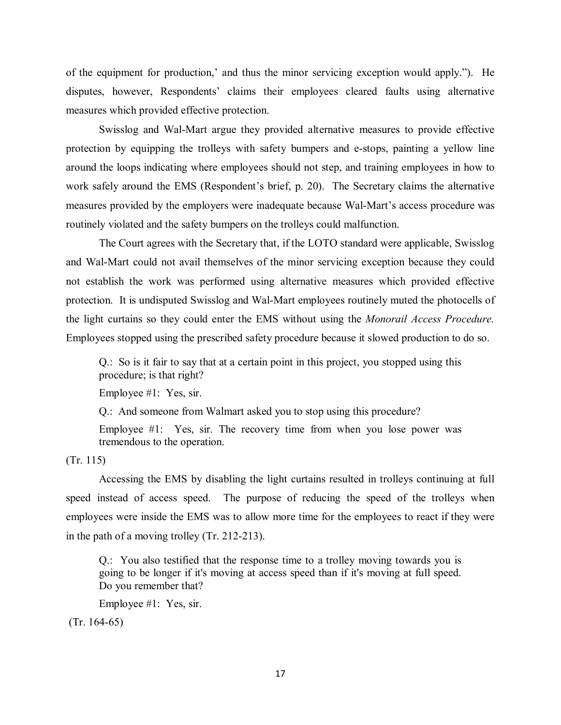of the equipment for production,' and thus the minor servicing exception would apply."). He disputes, however, Respondents' claims their employees cleared faults using alternative measures which provided effective protection.

 protection by equipping the trolleys with safety bumpers and e-stops, painting a yellow line around the loops indicating where employees should not step, and training employees in how to work safely around the EMS (Respondent's brief, p. 20). The Secretary claims the alternative Swisslog and Wal-Mart argue they provided alternative measures to provide effective measures provided by the employers were inadequate because Wal-Mart's access procedure was routinely violated and the safety bumpers on the trolleys could malfunction.

 protection. It is undisputed Swisslog and Wal-Mart employees routinely muted the photocells of the light curtains so they could enter the EMS without using the *Monorail Access Procedure.*  The Court agrees with the Secretary that, if the LOTO standard were applicable, Swisslog and Wal-Mart could not avail themselves of the minor servicing exception because they could not establish the work was performed using alternative measures which provided effective Employees stopped using the prescribed safety procedure because it slowed production to do so.

 Q.: So is it fair to say that at a certain point in this project, you stopped using this procedure; is that right?

Employee #1: Yes, sir.

Q.: And someone from Walmart asked you to stop using this procedure?

 Employee #1: Yes, sir. The recovery time from when you lose power was tremendous to the operation.

(Tr. 115)

 speed instead of access speed. The purpose of reducing the speed of the trolleys when Accessing the EMS by disabling the light curtains resulted in trolleys continuing at full employees were inside the EMS was to allow more time for the employees to react if they were in the path of a moving trolley (Tr. 212-213).

 Q.: You also testified that the response time to a trolley moving towards you is going to be longer if it's moving at access speed than if it's moving at full speed. Do you remember that?

Employee #1: Yes, sir.

(Tr. 164-65)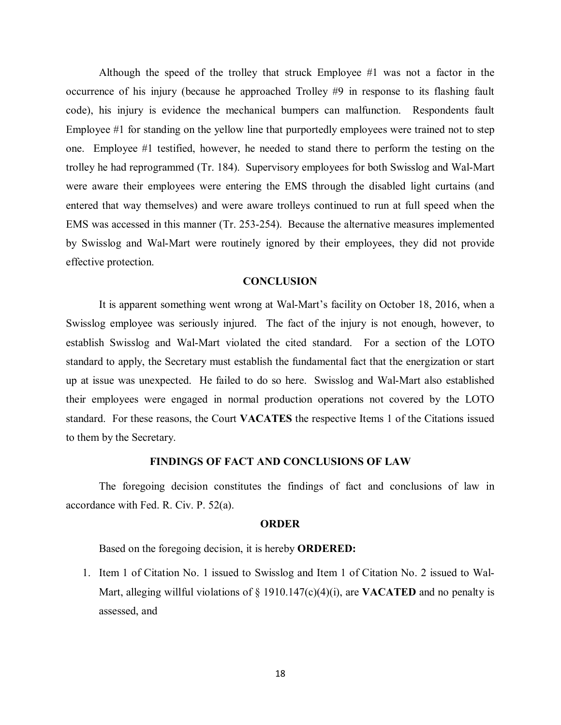code), his injury is evidence the mechanical bumpers can malfunction. Respondents fault Employee #1 for standing on the yellow line that purportedly employees were trained not to step trolley he had reprogrammed (Tr. 184). Supervisory employees for both Swisslog and Wal-Mart were aware their employees were entering the EMS through the disabled light curtains (and EMS was accessed in this manner (Tr. 253-254). Because the alternative measures implemented effective protection. Although the speed of the trolley that struck Employee #1 was not a factor in the occurrence of his injury (because he approached Trolley #9 in response to its flashing fault one. Employee #1 testified, however, he needed to stand there to perform the testing on the entered that way themselves) and were aware trolleys continued to run at full speed when the by Swisslog and Wal-Mart were routinely ignored by their employees, they did not provide

### **CONCLUSION**

 Swisslog employee was seriously injured. The fact of the injury is not enough, however, to standard to apply, the Secretary must establish the fundamental fact that the energization or start up at issue was unexpected. He failed to do so here. Swisslog and Wal-Mart also established their employees were engaged in normal production operations not covered by the LOTO standard. For these reasons, the Court **VACATES** the respective Items 1 of the Citations issued to them by the Secretary. It is apparent something went wrong at Wal-Mart's facility on October 18, 2016, when a establish Swisslog and Wal-Mart violated the cited standard. For a section of the LOTO

### **FINDINGS OF FACT AND CONCLUSIONS OF LAW**

 The foregoing decision constitutes the findings of fact and conclusions of law in accordance with Fed. R. Civ. P. 52(a).

#### **ORDER**

Based on the foregoing decision, it is hereby **ORDERED:** 

 Mart, alleging willful violations of § 1910.147(c)(4)(i), are **VACATED** and no penalty is 1. Item 1 of Citation No. 1 issued to Swisslog and Item 1 of Citation No. 2 issued to Walassessed, and